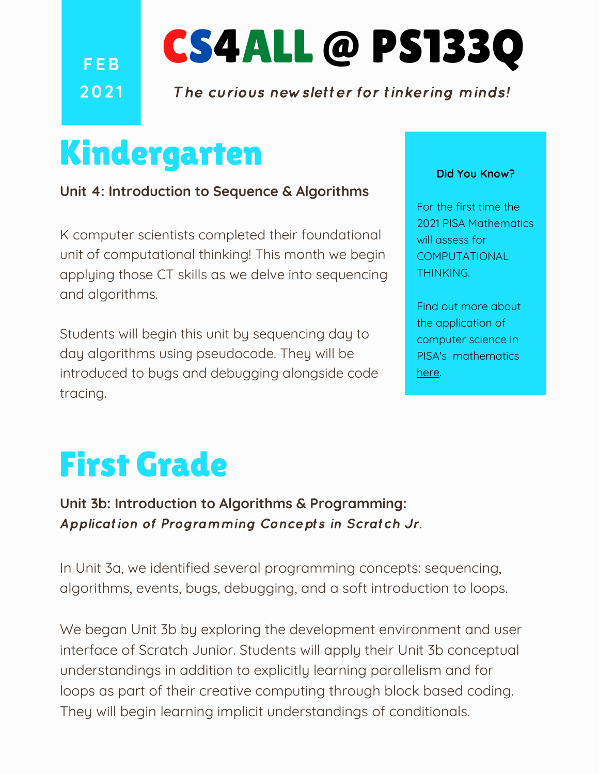**F EB 202 1** CS4ALL @ PS133Q

The curious newsletter for tinkering minds!

## Kindergarten

**Unit 4: Introduction to Sequence & Algorithms**

K computer scientists completed their foundational unit of computational thinking! This month we begin applying those CT skills as we delve into sequencing and algorithms.

Students will begin this unit by sequencing day to day algorithms using pseudocode. They will be introduced to bugs and debugging alongside code tracing.

#### **Did You Know?**

For the first time the 2021 PISA Mathematics will assess for COMPUTATIONAL THINKING.

Find out more about the application of computer science in PISA's mathematics [here](https://oecdedutoday.com/computer-science-and-pisa-2021/).

# First Grade

**Unit 3b: Introduction to Algorithms & Programming:** Application of Programming Concepts in Scratch Jr.

In Unit 3a, we identified several programming concepts: sequencing, algorithms, events, bugs, debugging, and a soft introduction to loops.

We began Unit 3b by exploring the development environment and user interface of Scratch Junior. Students will apply their Unit 3b conceptual understandings in addition to explicitly learning parallelism and for loops as part of their creative computing through block based coding. They will begin learning implicit understandings of conditionals.